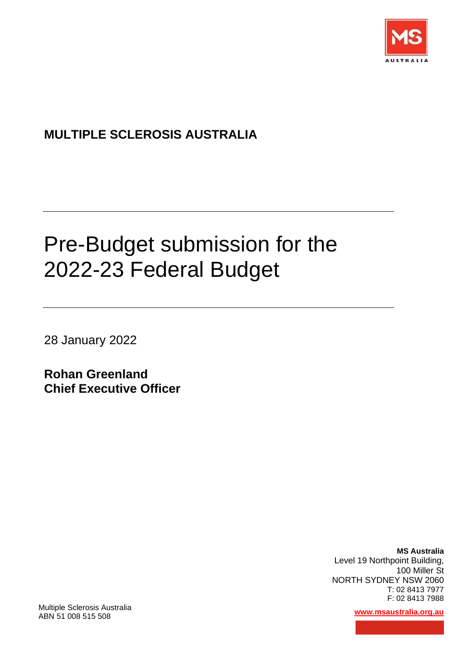

## **MULTIPLE SCLEROSIS AUSTRALIA**

# Pre-Budget submission for the 2022-23 Federal Budget

28 January 2022

**Rohan Greenland Chief Executive Officer**

> **MS Australia**  Level 19 Northpoint Building, 100 Miller St NORTH SYDNEY NSW 2060 T: 02 8413 7977 F: 02 8413 7988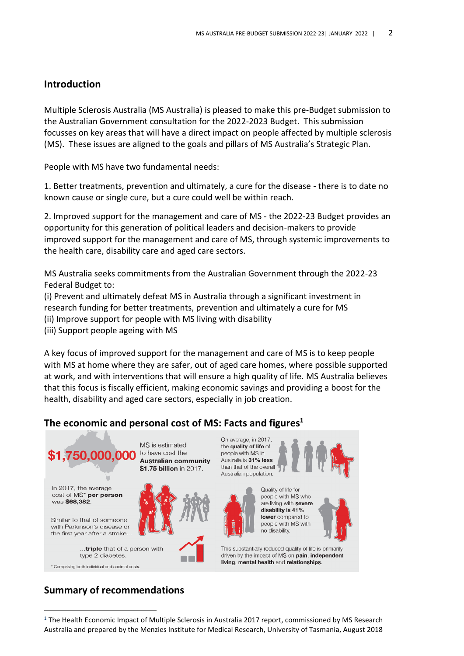#### **Introduction**

Multiple Sclerosis Australia (MS Australia) is pleased to make this pre-Budget submission to the Australian Government consultation for the 2022-2023 Budget. This submission focusses on key areas that will have a direct impact on people affected by multiple sclerosis (MS). These issues are aligned to the goals and pillars of MS Australia's Strategic Plan.

People with MS have two fundamental needs:

1. Better treatments, prevention and ultimately, a cure for the disease - there is to date no known cause or single cure, but a cure could well be within reach.

2. Improved support for the management and care of MS - the 2022-23 Budget provides an opportunity for this generation of political leaders and decision-makers to provide improved support for the management and care of MS, through systemic improvements to the health care, disability care and aged care sectors.

MS Australia seeks commitments from the Australian Government through the 2022-23 Federal Budget to:

(i) Prevent and ultimately defeat MS in Australia through a significant investment in research funding for better treatments, prevention and ultimately a cure for MS (ii) Improve support for people with MS living with disability

(iii) Support people ageing with MS

A key focus of improved support for the management and care of MS is to keep people with MS at home where they are safer, out of aged care homes, where possible supported at work, and with interventions that will ensure a high quality of life. MS Australia believes that this focus is fiscally efficient, making economic savings and providing a boost for the health, disability and aged care sectors, especially in job creation.

#### **The economic and personal cost of MS: Facts and figures<sup>1</sup>**



\* Comprising both individual and societal costs.

**Australian community** \$1.75 billion in 2017.



On average, in 2017, the quality of life of people with MS in .<br>Australia is 31% less than that of the overall Australian population.



Quality of life for people with MS who are living with severe disability is 41% lower compared to people with MS with no disability.



This substantially reduced quality of life is primarily driven by the impact of MS on pain, independent living, mental health and relationships.

#### **Summary of recommendations**

<sup>&</sup>lt;sup>1</sup> The Health Economic Impact of Multiple Sclerosis in Australia 2017 report, commissioned by MS Research Australia and prepared by the Menzies Institute for Medical Research, University of Tasmania, August 2018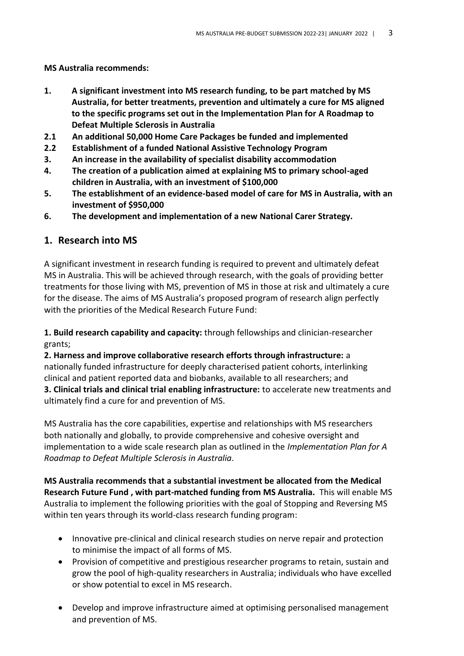**MS Australia recommends:**

- **1. A significant investment into MS research funding, to be part matched by MS Australia, for better treatments, prevention and ultimately a cure for MS aligned to the specific programs set out in the Implementation Plan for A Roadmap to Defeat Multiple Sclerosis in Australia**
- **2.1 An additional 50,000 Home Care Packages be funded and implemented**
- **2.2 Establishment of a funded National Assistive Technology Program**
- **3. An increase in the availability of specialist disability accommodation**
- **4. The creation of a publication aimed at explaining MS to primary school-aged children in Australia, with an investment of \$100,000**
- **5. The establishment of an evidence-based model of care for MS in Australia, with an investment of \$950,000**
- **6. The development and implementation of a new National Carer Strategy.**

#### **1. Research into MS**

A significant investment in research funding is required to prevent and ultimately defeat MS in Australia. This will be achieved through research, with the goals of providing better treatments for those living with MS, prevention of MS in those at risk and ultimately a cure for the disease. The aims of MS Australia's proposed program of research align perfectly with the priorities of the Medical Research Future Fund:

**1. Build research capability and capacity:** through fellowships and clinician-researcher grants;

**2. Harness and improve collaborative research efforts through infrastructure:** a nationally funded infrastructure for deeply characterised patient cohorts, interlinking clinical and patient reported data and biobanks, available to all researchers; and **3. Clinical trials and clinical trial enabling infrastructure:** to accelerate new treatments and ultimately find a cure for and prevention of MS.

MS Australia has the core capabilities, expertise and relationships with MS researchers both nationally and globally, to provide comprehensive and cohesive oversight and implementation to a wide scale research plan as outlined in the *Implementation Plan for A Roadmap to Defeat Multiple Sclerosis in Australia*.

**MS Australia recommends that a substantial investment be allocated from the Medical Research Future Fund , with part-matched funding from MS Australia.** This will enable MS Australia to implement the following priorities with the goal of Stopping and Reversing MS within ten years through its world-class research funding program:

- Innovative pre-clinical and clinical research studies on nerve repair and protection to minimise the impact of all forms of MS.
- Provision of competitive and prestigious researcher programs to retain, sustain and grow the pool of high-quality researchers in Australia; individuals who have excelled or show potential to excel in MS research.
- Develop and improve infrastructure aimed at optimising personalised management and prevention of MS.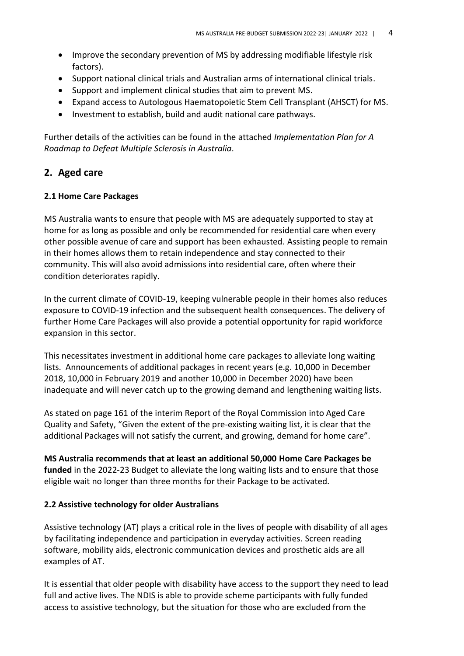- Improve the secondary prevention of MS by addressing modifiable lifestyle risk factors).
- Support national clinical trials and Australian arms of international clinical trials.
- Support and implement clinical studies that aim to prevent MS.
- Expand access to Autologous Haematopoietic Stem Cell Transplant (AHSCT) for MS.
- Investment to establish, build and audit national care pathways.

Further details of the activities can be found in the attached *Implementation Plan for A Roadmap to Defeat Multiple Sclerosis in Australia*.

#### **2. Aged care**

#### **2.1 Home Care Packages**

MS Australia wants to ensure that people with MS are adequately supported to stay at home for as long as possible and only be recommended for residential care when every other possible avenue of care and support has been exhausted. Assisting people to remain in their homes allows them to retain independence and stay connected to their community. This will also avoid admissions into residential care, often where their condition deteriorates rapidly.

In the current climate of COVID-19, keeping vulnerable people in their homes also reduces exposure to COVID-19 infection and the subsequent health consequences. The delivery of further Home Care Packages will also provide a potential opportunity for rapid workforce expansion in this sector.

This necessitates investment in additional home care packages to alleviate long waiting lists. Announcements of additional packages in recent years (e.g. 10,000 in December 2018, 10,000 in February 2019 and another 10,000 in December 2020) have been inadequate and will never catch up to the growing demand and lengthening waiting lists.

As stated on page 161 of the interim Report of the Royal Commission into Aged Care Quality and Safety, "Given the extent of the pre-existing waiting list, it is clear that the additional Packages will not satisfy the current, and growing, demand for home care".

**MS Australia recommends that at least an additional 50,000 Home Care Packages be funded** in the 2022-23 Budget to alleviate the long waiting lists and to ensure that those eligible wait no longer than three months for their Package to be activated.

#### **2.2 Assistive technology for older Australians**

Assistive technology (AT) plays a critical role in the lives of people with disability of all ages by facilitating independence and participation in everyday activities. Screen reading software, mobility aids, electronic communication devices and prosthetic aids are all examples of AT.

It is essential that older people with disability have access to the support they need to lead full and active lives. The NDIS is able to provide scheme participants with fully funded access to assistive technology, but the situation for those who are excluded from the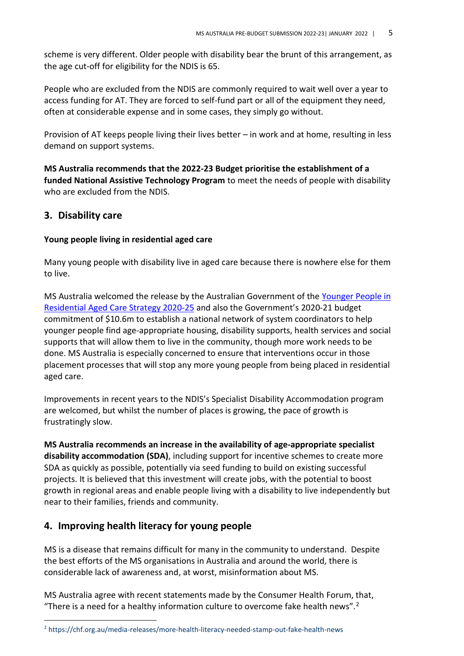scheme is very different. Older people with disability bear the brunt of this arrangement, as the age cut-off for eligibility for the NDIS is 65.

People who are excluded from the NDIS are commonly required to wait well over a year to access funding for AT. They are forced to self-fund part or all of the equipment they need, often at considerable expense and in some cases, they simply go without.

Provision of AT keeps people living their lives better – in work and at home, resulting in less demand on support systems.

**MS Australia recommends that the 2022-23 Budget prioritise the establishment of a funded National Assistive Technology Program** to meet the needs of people with disability who are excluded from the NDIS.

#### **3. Disability care**

#### **Young people living in residential aged care**

Many young people with disability live in aged care because there is nowhere else for them to live.

MS Australia welcomed the release by the Australian Government of the [Younger People in](https://www.dss.gov.au/disability-and-carers/programmes-services/for-people-with-disability/younger-people-with-disability-in-residential-aged-care-initiative)  [Residential Aged Care Strategy 2020-25](https://www.dss.gov.au/disability-and-carers/programmes-services/for-people-with-disability/younger-people-with-disability-in-residential-aged-care-initiative) and also the Government's 2020-21 budget commitment of \$10.6m to establish a national network of system coordinators to help younger people find age-appropriate housing, disability supports, health services and social supports that will allow them to live in the community, though more work needs to be done. MS Australia is especially concerned to ensure that interventions occur in those placement processes that will stop any more young people from being placed in residential aged care.

Improvements in recent years to the NDIS's Specialist Disability Accommodation program are welcomed, but whilst the number of places is growing, the pace of growth is frustratingly slow.

**MS Australia recommends an increase in the availability of age-appropriate specialist disability accommodation (SDA)**, including support for incentive schemes to create more SDA as quickly as possible, potentially via seed funding to build on existing successful projects. It is believed that this investment will create jobs, with the potential to boost growth in regional areas and enable people living with a disability to live independently but near to their families, friends and community.

#### **4. Improving health literacy for young people**

MS is a disease that remains difficult for many in the community to understand. Despite the best efforts of the MS organisations in Australia and around the world, there is considerable lack of awareness and, at worst, misinformation about MS.

MS Australia agree with recent statements made by the Consumer Health Forum, that, "There is a need for a healthy information culture to overcome fake health news".<sup>2</sup>

<sup>2</sup> https://chf.org.au/media-releases/more-health-literacy-needed-stamp-out-fake-health-news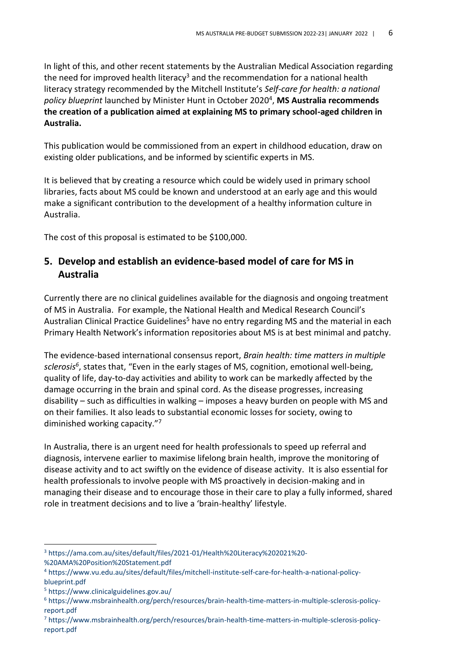In light of this, and other recent statements by the Australian Medical Association regarding the need for improved health literacy<sup>3</sup> and the recommendation for a national health literacy strategy recommended by the Mitchell Institute's *[Self-care for health: a national](https://chf.org.au/civicrm/mailing/url?u=9527&qid=847335)  [policy blueprint](https://chf.org.au/civicrm/mailing/url?u=9527&qid=847335)* launched by Minister Hunt in October 2020<sup>4</sup> , **MS Australia recommends the creation of a publication aimed at explaining MS to primary school-aged children in Australia.**

This publication would be commissioned from an expert in childhood education, draw on existing older publications, and be informed by scientific experts in MS.

It is believed that by creating a resource which could be widely used in primary school libraries, facts about MS could be known and understood at an early age and this would make a significant contribution to the development of a healthy information culture in Australia.

The cost of this proposal is estimated to be \$100,000.

#### **5. Develop and establish an evidence-based model of care for MS in Australia**

Currently there are no clinical guidelines available for the diagnosis and ongoing treatment of MS in Australia. For example, the National Health and Medical Research Council's Australian Clinical Practice Guidelines<sup>5</sup> have no entry regarding MS and the material in each Primary Health Network's information repositories about MS is at best minimal and patchy.

The evidence-based international consensus report, *[Brain health: time matters in multiple](http://www.msbrainhealth.org/report)  [sclerosis](http://www.msbrainhealth.org/report)<sup>6</sup>* , states that, "Even in the early stages of MS, cognition, emotional well-being, quality of life, day-to-day activities and ability to work can be markedly affected by the damage occurring in the brain and spinal cord. As the disease progresses, increasing disability – such as difficulties in walking – imposes a heavy burden on people with MS and on their families. It also leads to substantial economic losses for society, owing to diminished working capacity."<sup>7</sup>

In Australia, there is an urgent need for health professionals to speed up referral and diagnosis, intervene earlier to maximise lifelong brain health, improve the monitoring of disease activity and to act swiftly on the evidence of disease activity. It is also essential for health professionals to involve people with MS proactively in decision-making and in managing their disease and to encourage those in their care to play a fully informed, shared role in treatment decisions and to live a 'brain-healthy' lifestyle.

<sup>3</sup> https://ama.com.au/sites/default/files/2021-01/Health%20Literacy%202021%20- %20AMA%20Position%20Statement.pdf

<sup>4</sup> https://www.vu.edu.au/sites/default/files/mitchell-institute-self-care-for-health-a-national-policyblueprint.pdf

<sup>5</sup> https://www.clinicalguidelines.gov.au/

<sup>6</sup> https://www.msbrainhealth.org/perch/resources/brain-health-time-matters-in-multiple-sclerosis-policyreport.pdf

<sup>7</sup> https://www.msbrainhealth.org/perch/resources/brain-health-time-matters-in-multiple-sclerosis-policyreport.pdf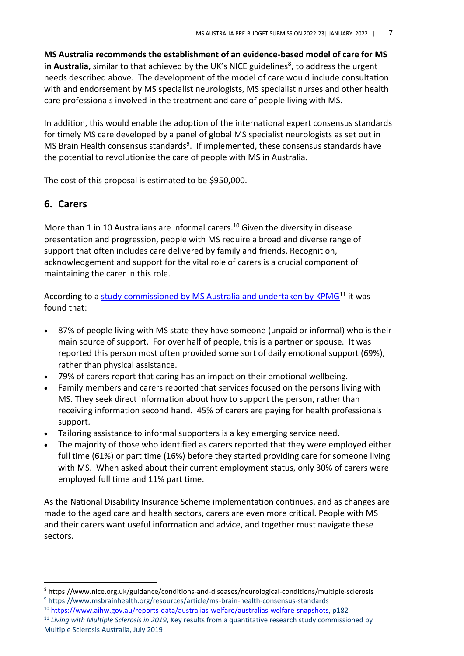**MS Australia recommends the establishment of an evidence-based model of care for MS** in Australia, similar to that achieved by the UK's NICE guidelines<sup>8</sup>, to address the urgent needs described above. The development of the model of care would include consultation with and endorsement by MS specialist neurologists, MS specialist nurses and other health care professionals involved in the treatment and care of people living with MS.

In addition, this would enable the adoption of the international expert consensus standards for timely MS care developed by a panel of global MS specialist neurologists as set out in MS Brain Health consensus standards<sup>9</sup>. If implemented, these consensus standards have the potential to revolutionise the care of people with MS in Australia.

The cost of this proposal is estimated to be \$950,000.

#### **6. Carers**

More than 1 in 10 Australians are informal carers.<sup>10</sup> Given the diversity in disease presentation and progression, people with MS require a broad and diverse range of support that often includes care delivered by family and friends. Recognition, acknowledgement and support for the vital role of carers is a crucial component of maintaining the carer in this role.

According to a study commissioned by MS Australia and undertaken by KPM $G<sup>11</sup>$  it was found that:

- 87% of people living with MS state they have someone (unpaid or informal) who is their main source of support. For over half of people, this is a partner or spouse. It was reported this person most often provided some sort of daily emotional support (69%), rather than physical assistance.
- 79% of carers report that caring has an impact on their emotional wellbeing.
- Family members and carers reported that services focused on the persons living with MS. They seek direct information about how to support the person, rather than receiving information second hand. 45% of carers are paying for health professionals support.
- Tailoring assistance to informal supporters is a key emerging service need.
- The majority of those who identified as carers reported that they were employed either full time (61%) or part time (16%) before they started providing care for someone living with MS. When asked about their current employment status, only 30% of carers were employed full time and 11% part time.

As the National Disability Insurance Scheme implementation continues, and as changes are made to the aged care and health sectors, carers are even more critical. People with MS and their carers want useful information and advice, and together must navigate these sectors.

<sup>8</sup> https://www.nice.org.uk/guidance/conditions-and-diseases/neurological-conditions/multiple-sclerosis <sup>9</sup> https://www.msbrainhealth.org/resources/article/ms-brain-health-consensus-standards

<sup>10</sup> [https://www.aihw.gov.au/reports-data/australias-welfare/australias-welfare-snapshots,](https://www.aihw.gov.au/reports-data/australias-welfare/australias-welfare-snapshots) p182

<sup>11</sup> *Living with Multiple Sclerosis in 2019*, Key results from a quantitative research study commissioned by Multiple Sclerosis Australia, July 2019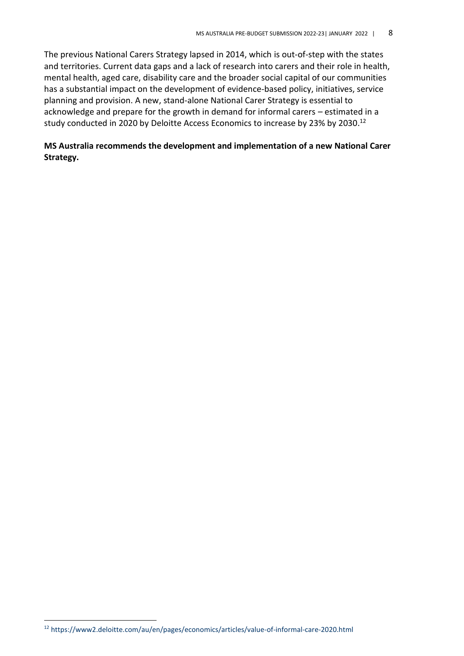The previous National Carers Strategy lapsed in 2014, which is out-of-step with the states and territories. Current data gaps and a lack of research into carers and their role in health, mental health, aged care, disability care and the broader social capital of our communities has a substantial impact on the development of evidence-based policy, initiatives, service planning and provision. A new, stand-alone National Carer Strategy is essential to acknowledge and prepare for the growth in demand for informal carers – estimated in a study conducted in 2020 by [Deloitte Access Economics](https://www2.deloitte.com/au/en/pages/economics/articles/value-of-informal-care-2020.html) to increase by 23% by 2030.<sup>12</sup>

#### **MS Australia recommends the development and implementation of a new National Carer Strategy.**

<sup>12</sup> https://www2.deloitte.com/au/en/pages/economics/articles/value-of-informal-care-2020.html